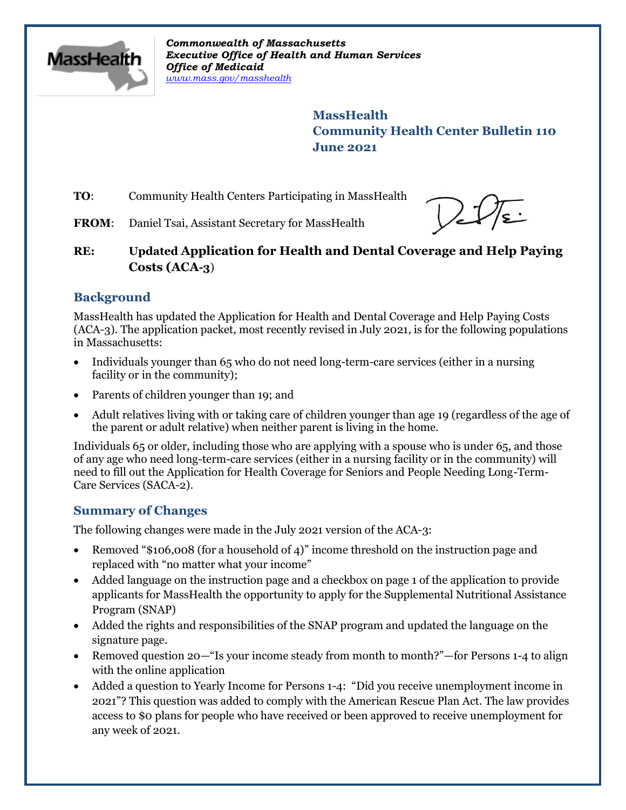

*Commonwealth of Massachusetts Executive Office of Health and Human Services Office of Medicaid [www.mass.gov/masshealth](http://www.mass.gov/masshealth)*

> **MassHealth Community Health Center Bulletin 110 June 2021**

**TO:** Community Health Centers Participating in MassHealth



FROM: Daniel Tsai, Assistant Secretary for MassHealth

**RE: Updated Application for Health and Dental Coverage and Help Paying Costs (ACA-3**)

# **Background**

MassHealth has updated the Application for Health and Dental Coverage and Help Paying Costs (ACA-3). The application packet, most recently revised in July 2021, is for the following populations in Massachusetts:

- Individuals younger than 65 who do not need long-term-care services (either in a nursing facility or in the community);
- Parents of children younger than 19; and
- Adult relatives living with or taking care of children younger than age 19 (regardless of the age of the parent or adult relative) when neither parent is living in the home.

Individuals 65 or older, including those who are applying with a spouse who is under 65, and those of any age who need long-term-care services (either in a nursing facility or in the community) will need to fill out the Application for Health Coverage for Seniors and People Needing Long-Term-Care Services (SACA-2).

# **Summary of Changes**

The following changes were made in the July 2021 version of the ACA-3:

- Removed "\$106,008 (for a household of 4)" income threshold on the instruction page and replaced with "no matter what your income"
- Added language on the instruction page and a checkbox on page 1 of the application to provide applicants for MassHealth the opportunity to apply for the Supplemental Nutritional Assistance Program (SNAP)
- Added the rights and responsibilities of the SNAP program and updated the language on the signature page.
- Removed question 20—"Is your income steady from month to month?"—for Persons 1-4 to align with the online application
- Added a question to Yearly Income for Persons 1-4: "Did you receive unemployment income in 2021"? This question was added to comply with the American Rescue Plan Act. The law provides access to \$0 plans for people who have received or been approved to receive unemployment for any week of 2021.